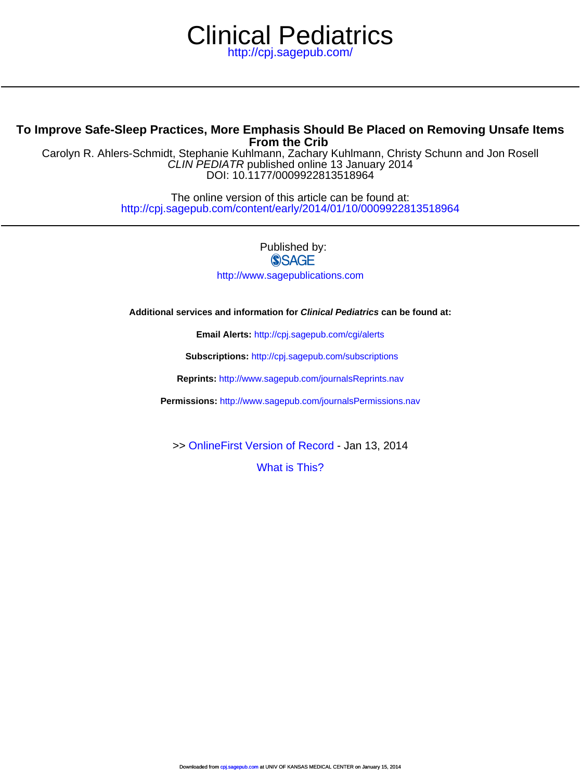## <http://cpj.sagepub.com/> Clinical Pediatrics

## **From the Crib To Improve Safe-Sleep Practices, More E[mphasis Shou](http://online.sagepub.com/site/sphelp/vorhelp.xhtml)ld Be Placed on Removing Unsafe Items**

DOI: 10.1177/0009922813518964 CLIN PEDIATR published online 13 January 2014 Carolyn R. Ahlers-Schmidt, Stephanie Kuhlmann, Zachary Kuhlmann, Christy Schunn and Jon Rosell

> <http://cpj.sagepub.com/content/early/2014/01/10/0009922813518964> The online version of this article can be found at:

> > Published by: **SSAGE** <http://www.sagepublications.com>

**Additional services and information for Clinical Pediatrics can be found at:**

**Email Alerts:** <http://cpj.sagepub.com/cgi/alerts>

**Subscriptions:** <http://cpj.sagepub.com/subscriptions>

**Reprints:** <http://www.sagepub.com/journalsReprints.nav>

**Permissions:** <http://www.sagepub.com/journalsPermissions.nav>

>> [OnlineFirst Version of Record -](http://cpj.sagepub.com/content/early/2014/01/10/0009922813518964.full.pdf) Jan 13, 2014

[What is This?](http://online.sagepub.com/site/sphelp/vorhelp.xhtml)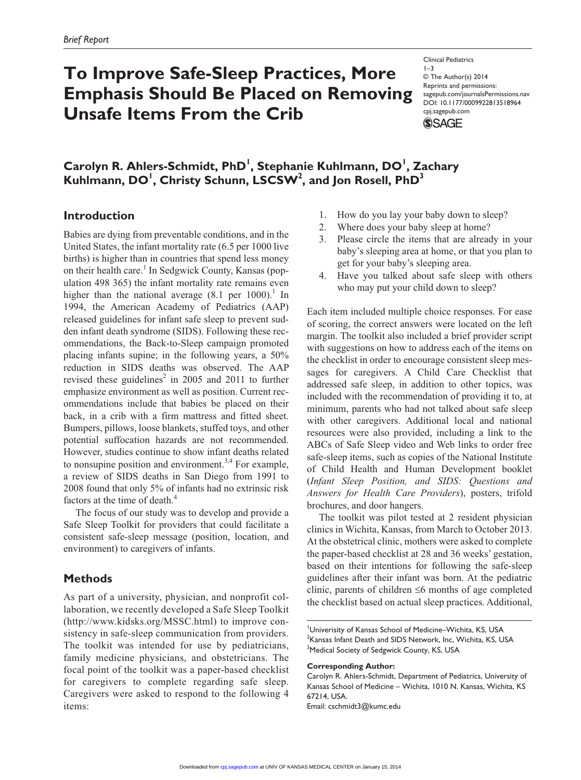# **To Improve Safe-Sleep Practices, More Emphasis Should Be Placed on Removing Unsafe Items From the Crib**

Clinical Pediatrics  $1 - 3$ © The Author(s) 2014 Reprints and permissions: sagepub.com/journalsPermissions.nav DOI: 10.1177/0009922813518964 cpj.sagepub.com **SSAGE** 

Carolyn R. Ahlers-Schmidt, PhD<sup>1</sup>, Stephanie Kuhlmann, DO<sup>1</sup>, Zachary  $K$ uhlmann, DO<sup>I</sup>, Christy Schunn, LSCSW<sup>2</sup>, and Jon Rosell, PhD<sup>3</sup>

## **Introduction**

Babies are dying from preventable conditions, and in the United States, the infant mortality rate (6.5 per 1000 live births) is higher than in countries that spend less money on their health care.<sup>1</sup> In Sedgwick County, Kansas (population 498 365) the infant mortality rate remains even higher than the national average  $(8.1 \text{ per } 1000)$ .<sup>1</sup> In 1994, the American Academy of Pediatrics (AAP) released guidelines for infant safe sleep to prevent sudden infant death syndrome (SIDS). Following these recommendations, the Back-to-Sleep campaign promoted placing infants supine; in the following years, a 50% reduction in SIDS deaths was observed. The AAP revised these guidelines<sup>2</sup> in 2005 and 2011 to further emphasize environment as well as position. Current recommendations include that babies be placed on their back, in a crib with a firm mattress and fitted sheet. Bumpers, pillows, loose blankets, stuffed toys, and other potential suffocation hazards are not recommended. However, studies continue to show infant deaths related to nonsupine position and environment.<sup>3,4</sup> For example, a review of SIDS deaths in San Diego from 1991 to 2008 found that only 5% of infants had no extrinsic risk factors at the time of death.<sup>4</sup>

The focus of our study was to develop and provide a Safe Sleep Toolkit for providers that could facilitate a consistent safe-sleep message (position, location, and environment) to caregivers of infants.

## **Methods**

As part of a university, physician, and nonprofit collaboration, we recently developed a Safe Sleep Toolkit ([http://www.kidsks.org/MSSC.html\)](http://www.kidsks.org/MSSC.html) to improve consistency in safe-sleep communication from providers. The toolkit was intended for use by pediatricians, family medicine physicians, and obstetricians. The focal point of the toolkit was a paper-based checklist for caregivers to complete regarding safe sleep. Caregivers were asked to respond to the following 4 items:

- 1. How do you lay your baby down to sleep?
- 2. Where does your baby sleep at home?
- 3. Please circle the items that are already in your baby's sleeping area at home, or that you plan to get for your baby's sleeping area.
- 4. Have you talked about safe sleep with others who may put your child down to sleep?

Each item included multiple choice responses. For ease of scoring, the correct answers were located on the left margin. The toolkit also included a brief provider script with suggestions on how to address each of the items on the checklist in order to encourage consistent sleep messages for caregivers. A Child Care Checklist that addressed safe sleep, in addition to other topics, was included with the recommendation of providing it to, at minimum, parents who had not talked about safe sleep with other caregivers. Additional local and national resources were also provided, including a link to the ABCs of Safe Sleep video and Web links to order free safe-sleep items, such as copies of the National Institute of Child Health and Human Development booklet (*Infant Sleep Position, and SIDS: Questions and Answers for Health Care Providers*), posters, trifold brochures, and door hangers.

The toolkit was pilot tested at 2 resident physician clinics in Wichita, Kansas, from March to October 2013. At the obstetrical clinic, mothers were asked to complete the paper-based checklist at 28 and 36 weeks' gestation, based on their intentions for following the safe-sleep guidelines after their infant was born. At the pediatric clinic, parents of children ≤6 months of age completed the checklist based on actual sleep practices. Additional,

**Corresponding Author:**

Carolyn R. Ahlers-Schmidt, Department of Pediatrics, University of Kansas School of Medicine – Wichita, 1010 N. Kansas, Wichita, KS 67214, USA.

Email: [cschmidt3@kumc.edu](mailto:cschmidt3@kumc.edu)

<sup>1</sup> Univerisity of Kansas School of Medicine–Wichita, KS, USA  $^{2}$ Kansas Infant Death and SIDS Network, Inc, Wichita, KS, USA <sup>3</sup>Medical Society of Sedgwick County, KS, USA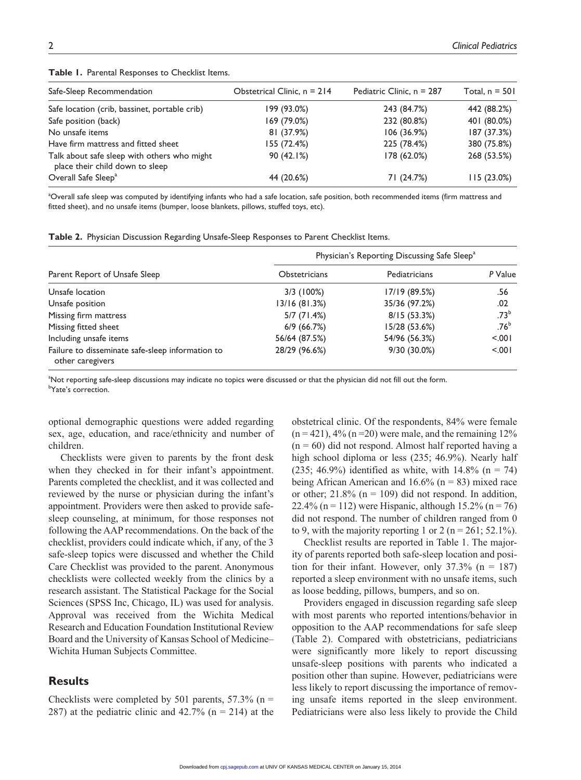| Safe-Sleep Recommendation                                                      | Obstetrical Clinic, $n = 214$ | Pediatric Clinic, $n = 287$ | Total, $n = 501$ |
|--------------------------------------------------------------------------------|-------------------------------|-----------------------------|------------------|
| Safe location (crib, bassinet, portable crib)                                  | 199 (93.0%)                   | 243 (84.7%)                 | 442 (88.2%)      |
| Safe position (back)                                                           | 169 (79.0%)                   | 232 (80.8%)                 | 401 (80.0%)      |
| No unsafe items                                                                | 81 (37.9%)                    | 106(36.9%)                  | 187 (37.3%)      |
| Have firm mattress and fitted sheet                                            | 155 (72.4%)                   | 225 (78.4%)                 | 380 (75.8%)      |
| Talk about safe sleep with others who might<br>place their child down to sleep | 90(42.1%)                     | 178 (62.0%)                 | 268 (53.5%)      |
| Overall Safe Sleep <sup>a</sup>                                                | 44 (20.6%)                    | 71 (24.7%)                  | 115(23.0%)       |

**Table 1.** Parental Responses to Checklist Items.

a Overall safe sleep was computed by identifying infants who had a safe location, safe position, both recommended items (firm mattress and fitted sheet), and no unsafe items (bumper, loose blankets, pillows, stuffed toys, etc).

**Table 2.** Physician Discussion Regarding Unsafe-Sleep Responses to Parent Checklist Items.

|                                                                      | Physician's Reporting Discussing Safe Sleep <sup>a</sup> |               |                  |
|----------------------------------------------------------------------|----------------------------------------------------------|---------------|------------------|
| Parent Report of Unsafe Sleep                                        | <b>Obstetricians</b>                                     | Pediatricians | P Value          |
| Unsafe location                                                      | $3/3$ (100%)                                             | 17/19 (89.5%) | .56              |
| Unsafe position                                                      | 13/16 (81.3%)                                            | 35/36 (97.2%) | .02              |
| Missing firm mattress                                                | $5/7$ (71.4%)                                            | 8/15(53.3%)   | .73 <sup>b</sup> |
| Missing fitted sheet                                                 | $6/9$ (66.7%)                                            | 15/28 (53.6%) | .76 <sup>b</sup> |
| Including unsafe items                                               | 56/64 (87.5%)                                            | 54/96 (56.3%) | 5.001            |
| Failure to disseminate safe-sleep information to<br>other caregivers | 28/29 (96.6%)                                            | 9/30 (30.0%)  | < 0.01           |

a Not reporting safe-sleep discussions may indicate no topics were discussed or that the physician did not fill out the form. <sup>b</sup>Yate's correction.

optional demographic questions were added regarding sex, age, education, and race/ethnicity and number of children.

Checklists were given to parents by the front desk when they checked in for their infant's appointment. Parents completed the checklist, and it was collected and reviewed by the nurse or physician during the infant's appointment. Providers were then asked to provide safesleep counseling, at minimum, for those responses not following the AAP recommendations. On the back of the checklist, providers could indicate which, if any, of the 3 safe-sleep topics were discussed and whether the Child Care Checklist was provided to the parent. Anonymous checklists were collected weekly from the clinics by a research assistant. The Statistical Package for the Social Sciences (SPSS Inc, Chicago, IL) was used for analysis. Approval was received from the Wichita Medical Research and Education Foundation Institutional Review Board and the University of Kansas School of Medicine– Wichita Human Subjects Committee.

#### **Results**

Checklists were completed by 501 parents, 57.3% ( $n =$ 287) at the pediatric clinic and  $42.7\%$  (n = 214) at the obstetrical clinic. Of the respondents, 84% were female  $(n = 421)$ , 4%  $(n = 20)$  were male, and the remaining 12%  $(n = 60)$  did not respond. Almost half reported having a high school diploma or less (235; 46.9%). Nearly half (235; 46.9%) identified as white, with  $14.8\%$  (n = 74) being African American and  $16.6\%$  (n = 83) mixed race or other;  $21.8\%$  (n = 109) did not respond. In addition, 22.4% (n = 112) were Hispanic, although 15.2% (n = 76) did not respond. The number of children ranged from 0 to 9, with the majority reporting 1 or 2 ( $n = 261$ ; 52.1%).

Checklist results are reported in Table 1. The majority of parents reported both safe-sleep location and position for their infant. However, only  $37.3\%$  (n = 187) reported a sleep environment with no unsafe items, such as loose bedding, pillows, bumpers, and so on.

Providers engaged in discussion regarding safe sleep with most parents who reported intentions/behavior in opposition to the AAP recommendations for safe sleep (Table 2). Compared with obstetricians, pediatricians were significantly more likely to report discussing unsafe-sleep positions with parents who indicated a position other than supine. However, pediatricians were less likely to report discussing the importance of removing unsafe items reported in the sleep environment. Pediatricians were also less likely to provide the Child